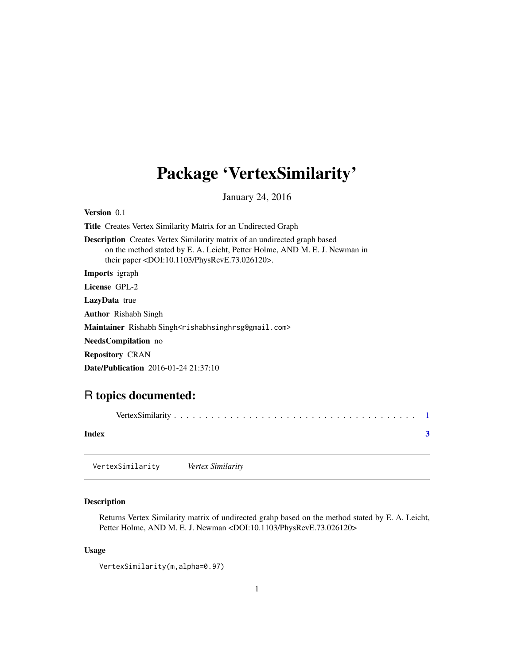## <span id="page-0-0"></span>Package 'VertexSimilarity'

January 24, 2016

| <b>Version</b> 0.1                                                                                                                                                                                                       |
|--------------------------------------------------------------------------------------------------------------------------------------------------------------------------------------------------------------------------|
| <b>Title</b> Creates Vertex Similarity Matrix for an Undirected Graph                                                                                                                                                    |
| <b>Description</b> Creates Vertex Similarity matrix of an undirected graph based<br>on the method stated by E. A. Leicht, Petter Holme, AND M. E. J. Newman in<br>their paper $\langle$ DOI:10.1103/PhysRevE.73.026120>. |
| <b>Imports</b> igraph                                                                                                                                                                                                    |
| License GPL-2                                                                                                                                                                                                            |
| <b>LazyData</b> true                                                                                                                                                                                                     |
| <b>Author</b> Rishabh Singh                                                                                                                                                                                              |
| Maintainer Rishabh Singh <rishabhsinghrsg@gmail.com></rishabhsinghrsg@gmail.com>                                                                                                                                         |
| <b>NeedsCompilation</b> no                                                                                                                                                                                               |
| <b>Repository CRAN</b>                                                                                                                                                                                                   |

Date/Publication 2016-01-24 21:37:10

### R topics documented:

| Index |                  |                   |  |  |  |
|-------|------------------|-------------------|--|--|--|
|       | VertexSimilarity | Vertex Similarity |  |  |  |

#### Description

Returns Vertex Similarity matrix of undirected grahp based on the method stated by E. A. Leicht, Petter Holme, AND M. E. J. Newman <DOI:10.1103/PhysRevE.73.026120>

#### Usage

```
VertexSimilarity(m,alpha=0.97)
```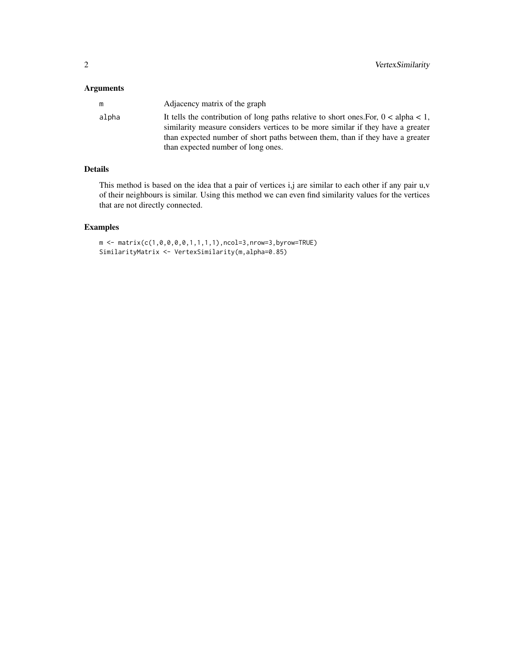#### Arguments

| m     | Adjacency matrix of the graph                                                                                                                                                                                                                              |
|-------|------------------------------------------------------------------------------------------------------------------------------------------------------------------------------------------------------------------------------------------------------------|
| alpha | It tells the contribution of long paths relative to short ones. For, $0 < a$ lpha < 1,<br>similarity measure considers vertices to be more similar if they have a greater<br>than expected number of short paths between them, than if they have a greater |
|       | than expected number of long ones.                                                                                                                                                                                                                         |

#### Details

This method is based on the idea that a pair of vertices i,j are similar to each other if any pair u,v of their neighbours is similar. Using this method we can even find similarity values for the vertices that are not directly connected.

#### Examples

```
m \le - matrix(c(1,0,0,0,0,1,1,1,1),ncol=3,nrow=3,byrow=TRUE)
SimilarityMatrix <- VertexSimilarity(m,alpha=0.85)
```